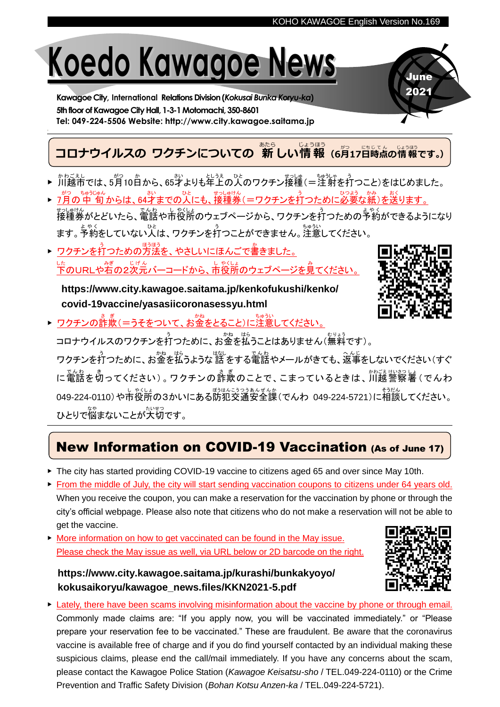# **Koedo Kawagoe News**

**Kawagoe City, International Relations Division(***Kokusai Bunka Koryu-ka***)** 5th floor of Kawagoe City Hall, 1-3-1 Motomachi, 350-8601 **Tel: 049-224-5506 Website: http://www.city.kawagoe.saitama.jp**

#### **コロナウイルスの ワクチンについての 新しい情報 (6月17日時点の情報です。)** あたら じょうほう

- ▶ 개もミぇし<br>▶ 川越市では、5月10日から、65才よりも年上の人のワクチン接種(=注射を打つこと)をはじめました。 おく
- ▶ プ月の中 旬からは、64才までの人にも、接種券(=ワクチンを打つために必要な紙 )を送 ります。 <sub>せっしゅけん</sub><br>接種券がとどいたら、電話や市役所のウェブページから、ワクチンを打つための予約ができるようになり ます。<sup>ちゃく</sup><br>ます。予約をしていない人は、ワクチンを打つことができません。注意してください。
- ▶ ワクチンを打つための方法を、やさしいにほんごで書 か きました。 した。<br>下のURLや右の2次元バーコードから、市役所のウェブページを見てください。

**https://www.city.kawagoe.saitama.jp/kenkofukushi/kenko/ covid-19vaccine/yasasiicoronasessyu.html**



June 2021

▶ ワクチンの詐欺(=うそをついて、お金をとること)に注意してください。

コロナウイルスのワクチンを打つために、お金を払うことはありません(無料です)。

ワクチンを打つために、お金を払うような話をする電話やメールがきても、返事をしないでください(すぐ に電話を切ってください) 。 ワクチンの 詐欺のことで、こまっているときは、 川越警察署 ( でんわ 049-224-0110)や市役所の3かいにある防犯交通安全課(でんわ 049-224-5721)に相談してください。 ひとりで悩まないことが大切です。

## New Information on COVID-19 Vaccination (As of June 17)

- ▶ The city has started providing COVID-19 vaccine to citizens aged 65 and over since May 10th.
- ▶ From the middle of July, the city will start sending vaccination coupons to citizens under 64 years old. When you receive the coupon, you can make a reservation for the vaccination by phone or through the city's official webpage. Please also note that citizens who do not make a reservation will not be able to get the vaccine.
- ▶ More information on how to get vaccinated can be found in the May issue. Please check the May issue as well, via URL below or 2D barcode on the right.

**https://www.city.kawagoe.saitama.jp/kurashi/bunkakyoyo/ kokusaikoryu/kawagoe\_news.files/KKN2021-5.pdf**



▶ Lately, there have been scams involving misinformation about the vaccine by phone or through email. Commonly made claims are: "If you apply now, you will be vaccinated immediately." or "Please prepare your reservation fee to be vaccinated." These are fraudulent. Be aware that the coronavirus vaccine is available free of charge and if you do find yourself contacted by an individual making these suspicious claims, please end the call/mail immediately. If you have any concerns about the scam, please contact the Kawagoe Police Station (*Kawagoe Keisatsu-sho* / TEL.049-224-0110) or the Crime Prevention and Traffic Safety Division (*Bohan Kotsu Anzen-ka* / TEL.049-224-5721).